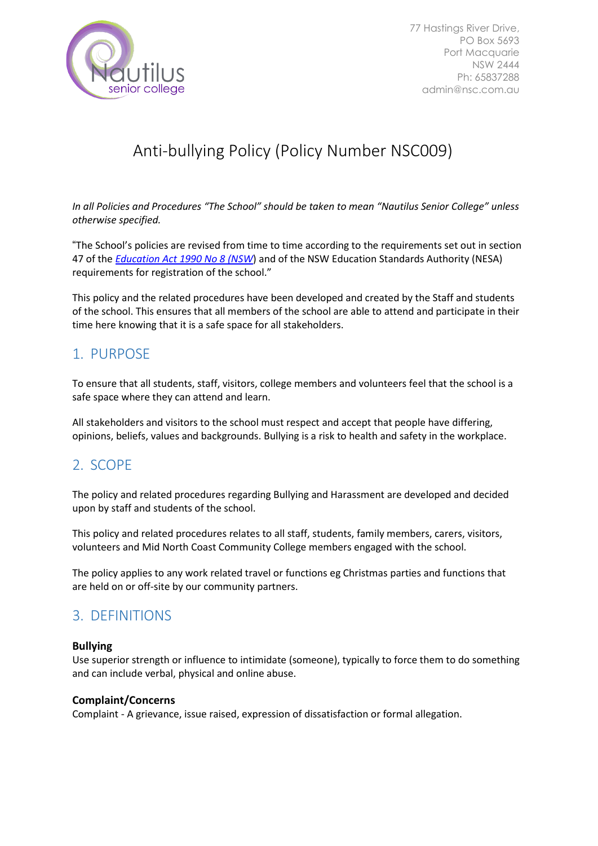

77 Hastings River Drive, PO Box 5693 Port Macquarie NSW 2444 Ph: 65837288 admin@nsc.com.au

# Anti-bullying Policy (Policy Number NSC009)

*In all Policies and Procedures "The School" should be taken to mean "Nautilus Senior College" unless otherwise specified.*

"The School's policies are revised from time to time according to the requirements set out in section 47 of the *[Education Act 1990 No 8 \(NSW](http://www.legislation.nsw.gov.au/)*) and of the NSW Education Standards Authority (NESA) requirements for registration of the school."

This policy and the related procedures have been developed and created by the Staff and students of the school. This ensures that all members of the school are able to attend and participate in their time here knowing that it is a safe space for all stakeholders.

### 1. PURPOSE

To ensure that all students, staff, visitors, college members and volunteers feel that the school is a safe space where they can attend and learn.

All stakeholders and visitors to the school must respect and accept that people have differing, opinions, beliefs, values and backgrounds. Bullying is a risk to health and safety in the workplace.

### 2. SCOPE

The policy and related procedures regarding Bullying and Harassment are developed and decided upon by staff and students of the school.

This policy and related procedures relates to all staff, students, family members, carers, visitors, volunteers and Mid North Coast Community College members engaged with the school.

The policy applies to any work related travel or functions eg Christmas parties and functions that are held on or off-site by our community partners.

### 3. DEFINITIONS

#### **Bullying**

Use superior strength or influence to intimidate (someone), typically to force them to do something and can include verbal, physical and online abuse.

#### **Complaint/Concerns**

Complaint - A grievance, issue raised, expression of dissatisfaction or formal allegation.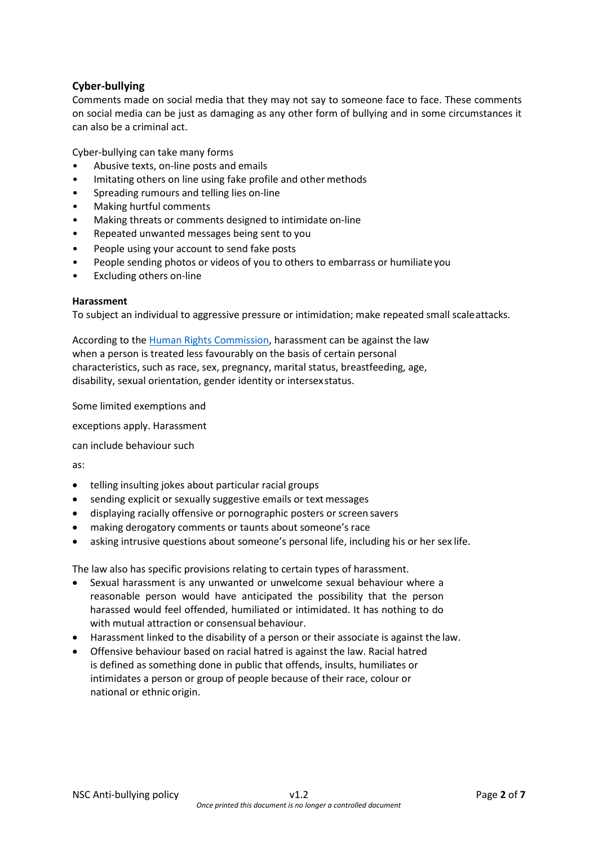#### **Cyber-bullying**

Comments made on social media that they may not say to someone face to face. These comments on social media can be just as damaging as any other form of bullying and in some circumstances it can also be a criminal act.

Cyber-bullying can take many forms

- Abusive texts, on-line posts and emails
- Imitating others on line using fake profile and other methods
- Spreading rumours and telling lies on-line
- Making hurtful comments
- Making threats or comments designed to intimidate on-line
- Repeated unwanted messages being sent to you
- People using your account to send fake posts
- People sending photos or videos of you to others to embarrass or humiliate you
- Excluding others on-line

#### **Harassment**

To subject an individual to aggressive pressure or intimidation; make repeated small scaleattacks.

According to th[e Human Rights Commission, h](https://www.humanrights.gov.au/quick-guide/12040)arassment can be against the law when a person is treated less favourably on the basis of certain personal characteristics, such as race, sex, pregnancy, marital status, breastfeeding, age, disability, sexual orientation, gender identity or intersexstatus.

Some limited exemptions and

exceptions apply. Harassment

can include behaviour such

as:

- telling insulting jokes about particular racial groups
- sending explicit or sexually suggestive emails or text messages
- displaying racially offensive or pornographic posters or screen savers
- making derogatory comments or taunts about someone's race
- asking intrusive questions about someone's personal life, including his or her sex life.

The law also has specific provisions relating to certain types of harassment.

- Sexual harassment is any unwanted or unwelcome sexual behaviour where a reasonable person would have anticipated the possibility that the person harassed would feel offended, humiliated or intimidated. It has nothing to do with mutual attraction or consensual behaviour.
- Harassment linked to the disability of a person or their associate is against the law.
- Offensive behaviour based on racial hatred is against the law. Racial hatred is defined as something done in public that offends, insults, humiliates or intimidates a person or group of people because of their race, colour or national or ethnic origin.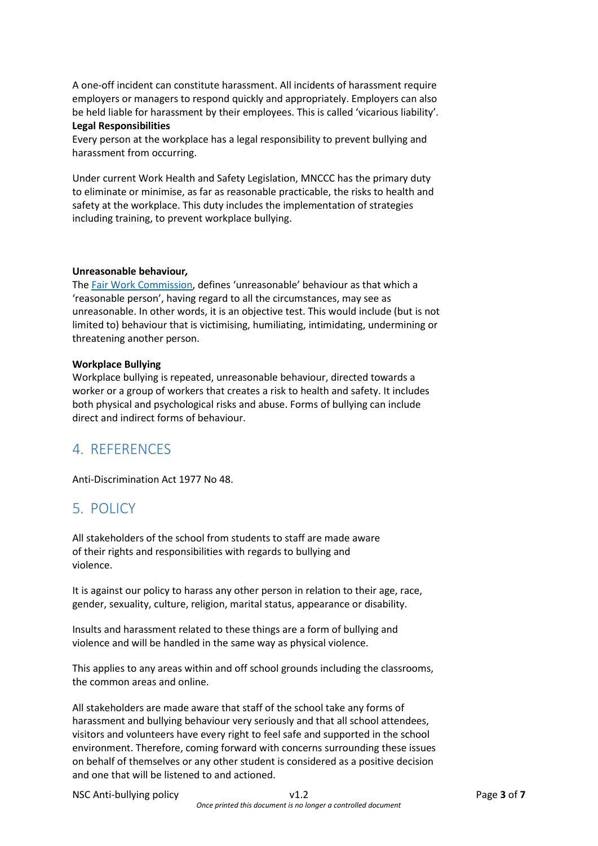A one-off incident can constitute harassment. All incidents of harassment require employers or managers to respond quickly and appropriately. Employers can also be held liable for harassment by their employees. This is called 'vicarious liability'.

#### **Legal Responsibilities**

Every person at the workplace has a legal responsibility to prevent bullying and harassment from occurring.

Under current Work Health and Safety Legislation, MNCCC has the primary duty to eliminate or minimise, as far as reasonable practicable, the risks to health and safety at the workplace. This duty includes the implementation of strategies including training, to prevent workplace bullying.

#### **Unreasonable behaviour***,*

The [Fair Work Commission, d](https://www.fwc.gov.au/anti-bullying-benchbook/when-worker-bullied-at-work)efines 'unreasonable' behaviour as that which a 'reasonable person', having regard to all the circumstances, may see as unreasonable. In other words, it is an objective test. This would include (but is not limited to) behaviour that is victimising, humiliating, intimidating, undermining or threatening another person.

#### **Workplace Bullying**

Workplace bullying is repeated, unreasonable behaviour, directed towards a worker or a group of workers that creates a risk to health and safety. It includes both physical and psychological risks and abuse. Forms of bullying can include direct and indirect forms of behaviour.

### 4. REFERENCES

Anti-Discrimination Act 1977 No 48.

### 5. POLICY

All stakeholders of the school from students to staff are made aware of their rights and responsibilities with regards to bullying and violence.

It is against our policy to harass any other person in relation to their age, race, gender, sexuality, culture, religion, marital status, appearance or disability.

Insults and harassment related to these things are a form of bullying and violence and will be handled in the same way as physical violence.

This applies to any areas within and off school grounds including the classrooms, the common areas and online.

All stakeholders are made aware that staff of the school take any forms of harassment and bullying behaviour very seriously and that all school attendees, visitors and volunteers have every right to feel safe and supported in the school environment. Therefore, coming forward with concerns surrounding these issues on behalf of themselves or any other student is considered as a positive decision and one that will be listened to and actioned.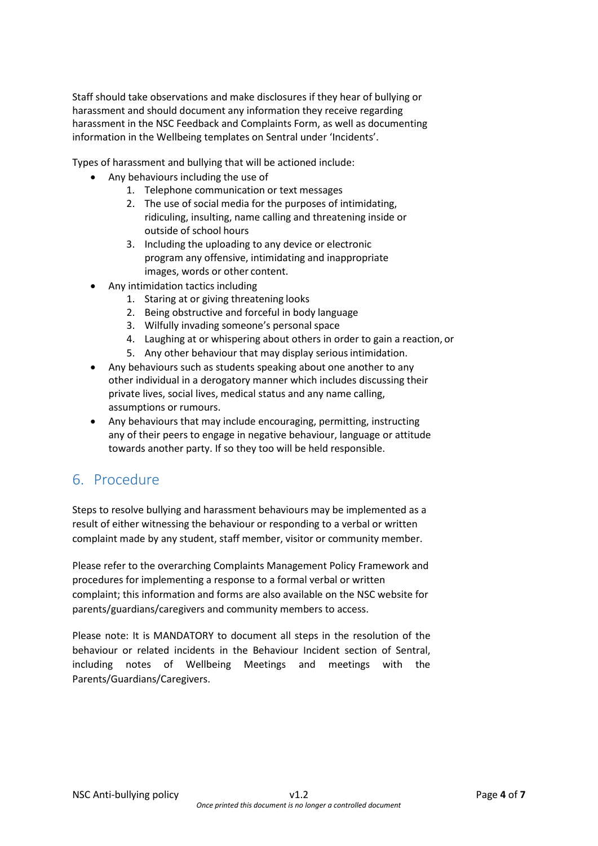Staff should take observations and make disclosures if they hear of bullying or harassment and should document any information they receive regarding harassment in the NSC Feedback and Complaints Form, as well as documenting information in the Wellbeing templates on Sentral under 'Incidents'.

Types of harassment and bullying that will be actioned include:

- Any behaviours including the use of
	- 1. Telephone communication or text messages
	- 2. The use of social media for the purposes of intimidating, ridiculing, insulting, name calling and threatening inside or outside of school hours
	- 3. Including the uploading to any device or electronic program any offensive, intimidating and inappropriate images, words or other content.
- Any intimidation tactics including
	- 1. Staring at or giving threatening looks
	- 2. Being obstructive and forceful in body language
	- 3. Wilfully invading someone's personal space
	- 4. Laughing at or whispering about others in order to gain a reaction, or
	- 5. Any other behaviour that may display serious intimidation.
- Any behaviours such as students speaking about one another to any other individual in a derogatory manner which includes discussing their private lives, social lives, medical status and any name calling, assumptions or rumours.
- Any behaviours that may include encouraging, permitting, instructing any of their peers to engage in negative behaviour, language or attitude towards another party. If so they too will be held responsible.

### 6. Procedure

Steps to resolve bullying and harassment behaviours may be implemented as a result of either witnessing the behaviour or responding to a verbal or written complaint made by any student, staff member, visitor or community member.

Please refer to the overarching Complaints Management Policy Framework and procedures for implementing a response to a formal verbal or written complaint; this information and forms are also available on the NSC website for parents/guardians/caregivers and community members to access.

Please note: It is MANDATORY to document all steps in the resolution of the behaviour or related incidents in the Behaviour Incident section of Sentral, including notes of Wellbeing Meetings and meetings with the Parents/Guardians/Caregivers.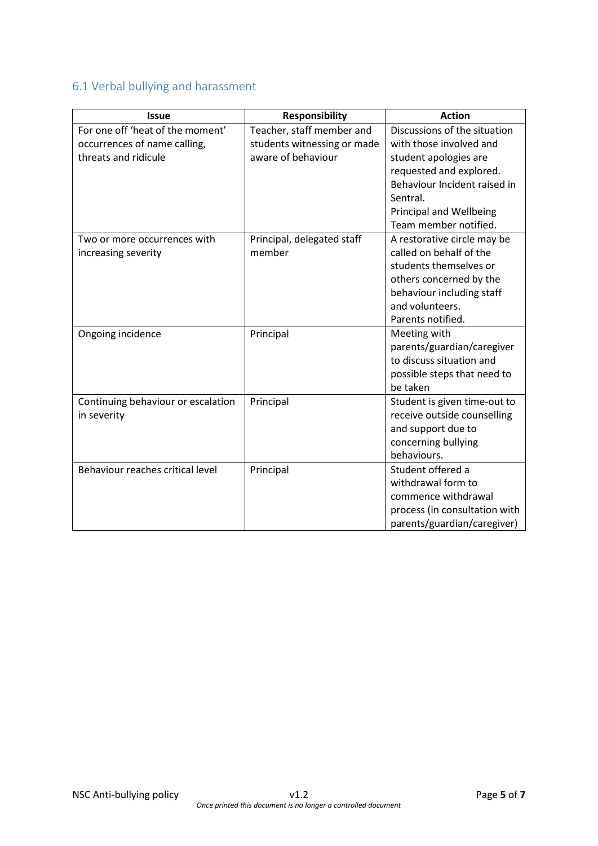# 6.1 Verbal bullying and harassment

| <b>Issue</b>                       | <b>Responsibility</b>       | <b>Action</b>                  |
|------------------------------------|-----------------------------|--------------------------------|
| For one off 'heat of the moment'   | Teacher, staff member and   | Discussions of the situation   |
| occurrences of name calling,       | students witnessing or made | with those involved and        |
| threats and ridicule               | aware of behaviour          | student apologies are          |
|                                    |                             | requested and explored.        |
|                                    |                             | Behaviour Incident raised in   |
|                                    |                             | Sentral.                       |
|                                    |                             | <b>Principal and Wellbeing</b> |
|                                    |                             | Team member notified.          |
| Two or more occurrences with       | Principal, delegated staff  | A restorative circle may be    |
| increasing severity                | member                      | called on behalf of the        |
|                                    |                             | students themselves or         |
|                                    |                             | others concerned by the        |
|                                    |                             | behaviour including staff      |
|                                    |                             | and volunteers.                |
|                                    |                             | Parents notified.              |
| Ongoing incidence                  | Principal                   | Meeting with                   |
|                                    |                             | parents/guardian/caregiver     |
|                                    |                             | to discuss situation and       |
|                                    |                             | possible steps that need to    |
|                                    |                             | be taken                       |
| Continuing behaviour or escalation | Principal                   | Student is given time-out to   |
| in severity                        |                             | receive outside counselling    |
|                                    |                             | and support due to             |
|                                    |                             | concerning bullying            |
|                                    |                             | behaviours.                    |
| Behaviour reaches critical level   | Principal                   | Student offered a              |
|                                    |                             | withdrawal form to             |
|                                    |                             | commence withdrawal            |
|                                    |                             | process (in consultation with  |
|                                    |                             | parents/guardian/caregiver)    |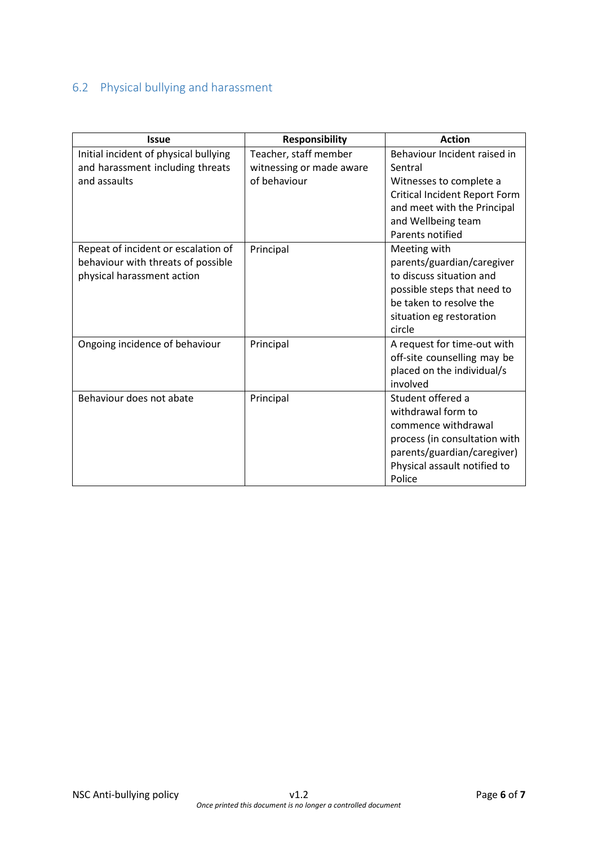# 6.2 Physical bullying and harassment

| <b>Issue</b>                          | <b>Responsibility</b>    | <b>Action</b>                        |
|---------------------------------------|--------------------------|--------------------------------------|
| Initial incident of physical bullying | Teacher, staff member    | Behaviour Incident raised in         |
| and harassment including threats      | witnessing or made aware | Sentral                              |
| and assaults                          | of behaviour             | Witnesses to complete a              |
|                                       |                          | <b>Critical Incident Report Form</b> |
|                                       |                          | and meet with the Principal          |
|                                       |                          | and Wellbeing team                   |
|                                       |                          | Parents notified                     |
| Repeat of incident or escalation of   | Principal                | Meeting with                         |
| behaviour with threats of possible    |                          | parents/guardian/caregiver           |
| physical harassment action            |                          | to discuss situation and             |
|                                       |                          | possible steps that need to          |
|                                       |                          | be taken to resolve the              |
|                                       |                          | situation eg restoration             |
|                                       |                          | circle                               |
| Ongoing incidence of behaviour        | Principal                | A request for time-out with          |
|                                       |                          | off-site counselling may be          |
|                                       |                          | placed on the individual/s           |
|                                       |                          | involved                             |
| Behaviour does not abate              | Principal                | Student offered a                    |
|                                       |                          | withdrawal form to                   |
|                                       |                          | commence withdrawal                  |
|                                       |                          | process (in consultation with        |
|                                       |                          | parents/guardian/caregiver)          |
|                                       |                          | Physical assault notified to         |
|                                       |                          | Police                               |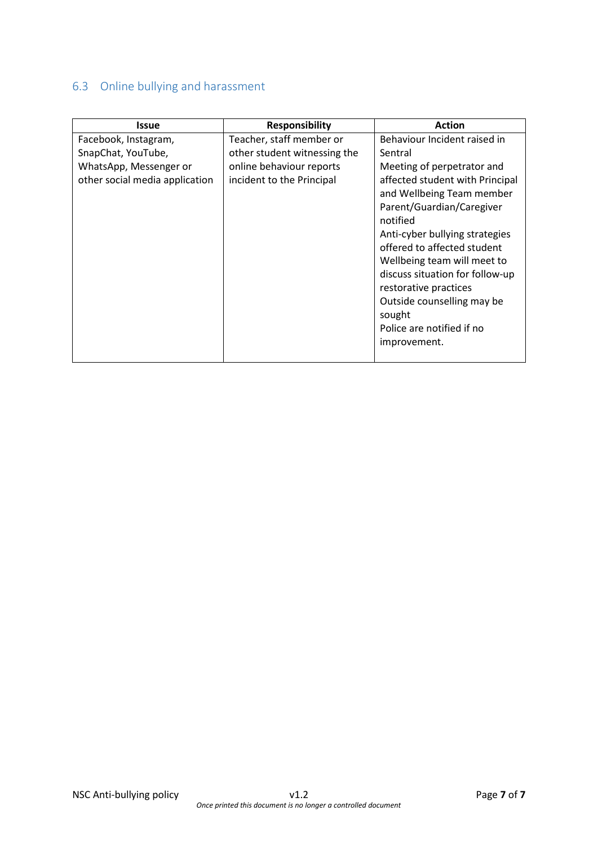# 6.3 Online bullying and harassment

| Issue                          | <b>Responsibility</b>        | <b>Action</b>                   |
|--------------------------------|------------------------------|---------------------------------|
| Facebook, Instagram,           | Teacher, staff member or     | Behaviour Incident raised in    |
| SnapChat, YouTube,             | other student witnessing the | Sentral                         |
| WhatsApp, Messenger or         | online behaviour reports     | Meeting of perpetrator and      |
| other social media application | incident to the Principal    | affected student with Principal |
|                                |                              | and Wellbeing Team member       |
|                                |                              | Parent/Guardian/Caregiver       |
|                                |                              | notified                        |
|                                |                              | Anti-cyber bullying strategies  |
|                                |                              | offered to affected student     |
|                                |                              | Wellbeing team will meet to     |
|                                |                              | discuss situation for follow-up |
|                                |                              | restorative practices           |
|                                |                              | Outside counselling may be      |
|                                |                              | sought                          |
|                                |                              | Police are notified if no       |
|                                |                              | improvement.                    |
|                                |                              |                                 |